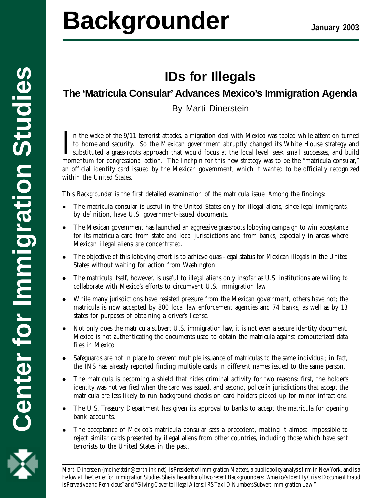# **IDs for Illegals**

# **The 'Matricula Consular' Advances Mexico's Immigration Agenda**

By Marti Dinerstein

In the wake of the 9/11 terrorist attacks, a migration deal with Mexico was tabled while attention turned to homeland security. So the Mexican government abruptly changed its White House strategy and substituted a grass-ro n the wake of the 9/11 terrorist attacks, a migration deal with Mexico was tabled while attention turned to homeland security. So the Mexican government abruptly changed its White House strategy and substituted a grass-roots approach that would focus at the local level, seek small successes, and build an official identity card issued by the Mexican government, which it wanted to be officially recognized within the United States.

This *Backgrounder* is the first detailed examination of the matricula issue. Among the findings:

- l The matricula consular is useful in the United States only for illegal aliens, since legal immigrants, by definition, have U.S. government-issued documents.
- The Mexican government has launched an aggressive grassroots lobbying campaign to win acceptance for its matricula card from state and local jurisdictions and from banks, especially in areas where Mexican illegal aliens are concentrated.
- l The objective of this lobbying effort is to achieve quasi-legal status for Mexican illegals in the United States without waiting for action from Washington.
- l The matricula itself, however, is useful to illegal aliens only insofar as U.S. institutions are willing to collaborate with Mexico's efforts to circumvent U.S. immigration law.
- l While many jurisdictions have resisted pressure from the Mexican government, others have not; the matricula is now accepted by 800 local law enforcement agencies and 74 banks, as well as by 13 states for purposes of obtaining a driver's license.
- l Not only does the matricula subvert U.S. immigration law, it is not even a secure identity document. Mexico is not authenticating the documents used to obtain the matricula against computerized data files in Mexico.
- Safeguards are not in place to prevent multiple issuance of matriculas to the same individual; in fact, the INS has already reported finding multiple cards in different names issued to the same person.
- The matricula is becoming a shield that hides criminal activity for two reasons: first, the holder's identity was not verified when the card was issued, and second, police in jurisdictions that accept the matricula are less likely to run background checks on card holders picked up for minor infractions.
- l The U.S. Treasury Department has given its approval to banks to accept the matricula for opening bank accounts.
- The acceptance of Mexico's matricula consular sets a precedent, making it almost impossible to reject similar cards presented by illegal aliens from other countries, including those which have sent terrorists to the United States in the past.

1 *Fellow at the Center for Immigration Studies. She is the author of two recent* Backgrounders: *"America's Identity Crisis: Document Fraud Marti Dinerstein (mdinerstein@earthlink.net) is President of Immigration Matters, a public policy analysis firm in New York, and is a is Pervasive and Pernicious" and "Giving Cover to Illegal Aliens: IRS Tax ID Numbers Subvert Immigration Law."*

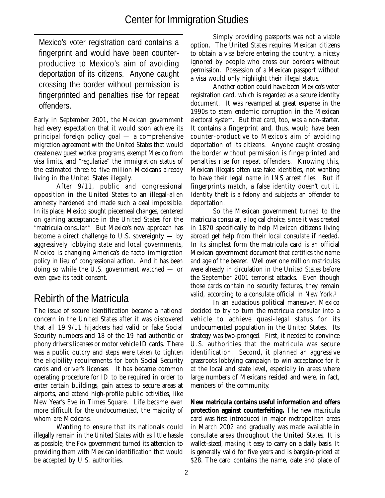Mexico's voter registration card contains a fingerprint and would have been counterproductive to Mexico's aim of avoiding deportation of its citizens. Anyone caught crossing the border without permission is fingerprinted and penalties rise for repeat offenders.

Early in September 2001, the Mexican government had every expectation that it would soon achieve its principal foreign policy goal — a comprehensive migration agreement with the United States that would create new guest worker programs, exempt Mexico from visa limits, and "regularize" the immigration status of the estimated three to five million Mexicans already living in the United States illegally.

After 9/11, public and congressional opposition in the United States to an illegal-alien amnesty hardened and made such a deal impossible. In its place, Mexico sought piecemeal changes, centered on gaining acceptance in the United States for the "matricula consular." But Mexico's new approach has become a direct challenge to U.S. sovereignty  $-$  by aggressively lobbying state and local governments, Mexico is changing America's de facto immigration policy in lieu of congressional action. And it has been doing so while the U.S. government watched — or even gave its tacit consent.

## Rebirth of the Matricula

The issue of secure identification became a national concern in the United States after it was discovered that all 19 9/11 hijackers had valid or fake Social Security numbers and 18 of the 19 had authentic or phony driver's licenses or motor vehicle ID cards. There was a public outcry and steps were taken to tighten the eligibility requirements for both Social Security cards and driver's licenses. It has became common operating procedure for ID to be required in order to enter certain buildings, gain access to secure areas at airports, and attend high-profile public activities, like New Year's Eve in Times Square. Life became even more difficult for the undocumented, the majority of whom are Mexicans.

Wanting to ensure that its nationals could illegally remain in the United States with as little hassle as possible, the Fox government turned its attention to providing them with Mexican identification that would be accepted by U.S. authorities.

Simply providing passports was not a viable option. The United States requires Mexican citizens to obtain a visa before entering the country, a nicety ignored by people who cross our borders without permission. Possession of a Mexican passport without a visa would only highlight their illegal status.

Another option could have been Mexico's voter registration card, which is regarded as a secure identity document. It was revamped at great expense in the 1990s to stem endemic corruption in the Mexican electoral system. But that card, too, was a non-starter. It contains a fingerprint and, thus, would have been counter-productive to Mexico's aim of avoiding deportation of its citizens. Anyone caught crossing the border without permission is fingerprinted and penalties rise for repeat offenders. Knowing this, Mexican illegals often use fake identities, not wanting to have their legal name in INS arrest files. But if fingerprints match, a false identity doesn't cut it. Identity theft is a felony and subjects an offender to deportation.

So the Mexican government turned to the matricula consular, a logical choice, since it was created in 1870 specifically to help Mexican citizens living abroad get help from their local consulate if needed. In its simplest form the matricula card is an official Mexican government document that certifies the name and age of the bearer. Well over one million matriculas were already in circulation in the United States before the September 2001 terrorist attacks. Even though those cards contain no security features, they remain valid, according to a consulate official in New York.<sup>1</sup>

In an audacious political maneuver, Mexico decided to try to turn the matricula consular into a vehicle to achieve quasi-legal status for its undocumented population in the United States. Its strategy was two-pronged. First, it needed to convince U.S. authorities that the matricula was secure identification. Second, it planned an aggressive grassroots lobbying campaign to win acceptance for it at the local and state level, especially in areas where large numbers of Mexicans resided and were, in fact, members of the community.

**New matricula contains useful information and offers protection against counterfeiting.** The new matricula card was first introduced in major metropolitan areas in March 2002 and gradually was made available in consulate areas throughout the United States. It is wallet-sized, making it easy to carry on a daily basis. It is generally valid for five years and is bargain-priced at \$28. The card contains the name, date and place of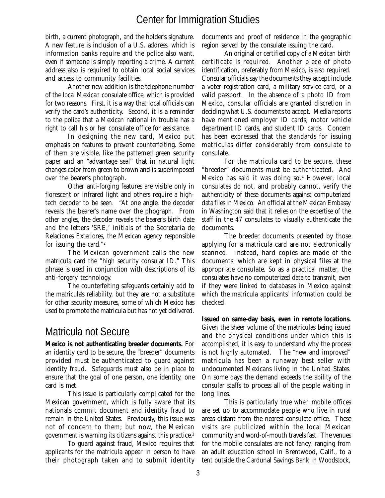birth, a current photograph, and the holder's signature. A new feature is inclusion of a U.S. address, which is information banks require and the police also want, even if someone is simply reporting a crime. A current address also is required to obtain local social services and access to community facilities.

Another new addition is the telephone number of the local Mexican consulate office, which is provided for two reasons. First, it is a way that local officials can verify the card's authenticity. Second, it is a reminder to the police that a Mexican national in trouble has a right to call his or her consulate office for assistance.

In designing the new card, Mexico put emphasis on features to prevent counterfeiting. Some of them are visible, like the patterned green security paper and an "advantage seal" that in natural light changes color from green to brown and is superimposed over the bearer's photograph.

Other anti-forging features are visible only in florescent or infrared light and others require a hightech decoder to be seen. "At one angle, the decoder reveals the bearer's name over the phograph. From other angles, the decoder reveals the bearer's birth date and the letters 'SRE,' initials of the Secretaria de Relaciones Exteriores, the Mexican agency responsible for issuing the card."2

The Mexican government calls the new matricula card the "high security consular ID." This phrase is used in conjunction with descriptions of its anti-forgery technology.

The counterfeiting safeguards certainly add to the matricula's reliability, but they are not a substitute for other security measures, some of which Mexico has used to promote the matricula but has not yet delivered.

#### Matricula not Secure

**Mexico is not authenticating breeder documents.** For an identity card to be secure, the "breeder" documents provided must be authenticated to guard against identity fraud. Safeguards must also be in place to ensure that the goal of one person, one identity, one card is met.

This issue is particularly complicated for the Mexican government, which is fully aware that its nationals commit document and identity fraud to remain in the United States. Previously, this issue was not of concern to them; but now, the Mexican government is warning its citizens against this practice.3

To guard against fraud, Mexico requires that applicants for the matricula appear in person to have their photograph taken and to submit identity

documents and proof of residence in the geographic region served by the consulate issuing the card.

An original or certified copy of a Mexican birth certificate is required. Another piece of photo identification, preferably from Mexico, is also required. Consular officials say the documents they accept include a voter registration card, a military service card, or a valid passport. In the absence of a photo ID from Mexico, consular officials are granted discretion in deciding what U.S. documents to accept. Media reports have mentioned employer ID cards, motor vehicle department ID cards, and student ID cards. Concern has been expressed that the standards for issuing matriculas differ considerably from consulate to consulate.

For the matricula card to be secure, these "breeder" documents must be authenticated. And Mexico has said it was doing so.4 However, local consulates do not, and probably cannot, verify the authenticity of these documents against computerized data files in Mexico. An official at the Mexican Embassy in Washington said that it relies on the expertise of the staff in the 47 consulates to visually authenticate the documents.

The breeder documents presented by those applying for a matricula card are not electronically scanned. Instead, hard copies are made of the documents, which are kept in physical files at the appropriate consulate. So as a practical matter, the consulates have no computerized data to transmit, even if they were linked to databases in Mexico against which the matricula applicants' information could be checked.

**Issued on same-day basis, even in remote locations.** Given the sheer volume of the matriculas being issued and the physical conditions under which this is accomplished, it is easy to understand why the process is not highly automated. The "new and improved" matricula has been a runaway best seller with undocumented Mexicans living in the United States. On some days the demand exceeds the ability of the consular staffs to process all of the people waiting in long lines.

This is particularly true when mobile offices are set up to accommodate people who live in rural areas distant from the nearest consulate office. These visits are publicized within the local Mexican community and word-of-mouth travels fast. The venues for the mobile consulates are not fancy, ranging from an adult education school in Brentwood, Calif., to a tent outside the Cardunal Savings Bank in Woodstock,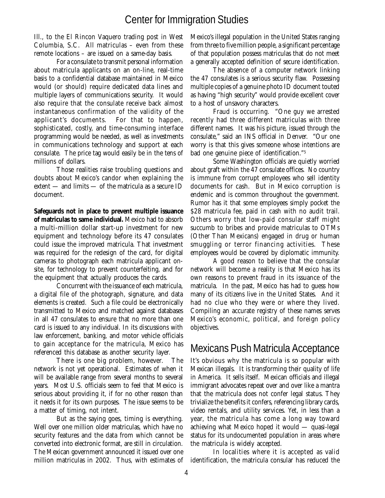Ill., to the El Rincon Vaquero trading post in West Columbia, S.C. All matriculas – even from these remote locations – are issued on a same-day basis.

For a consulate to transmit personal information about matricula applicants on an on-line, real-time basis to a confidential database maintained in Mexico would (or should) require dedicated data lines and multiple layers of communications security. It would also require that the consulate receive back almost instantaneous confirmation of the validity of the applicant's documents. For that to happen, sophisticated, costly, and time-consuming interface programming would be needed, as well as investments in communications technology and support at each consulate. The price tag would easily be in the tens of millions of dollars.

Those realities raise troubling questions and doubts about Mexico's candor when explaining the extent — and limits — of the matricula as a secure ID document.

**Safeguards not in place to prevent multiple issuance of matriculas to same individual.** Mexico had to absorb a multi-million dollar start-up investment for new equipment and technology before its 47 consulates could issue the improved matricula. That investment was required for the redesign of the card, for digital cameras to photograph each matricula applicant onsite, for technology to prevent counterfeiting, and for the equipment that actually produces the cards.

Concurrent with the issuance of each matricula, a digital file of the photograph, signature, and data elements is created. Such a file could be electronically transmitted to Mexico and matched against databases in all 47 consulates to ensure that no more than one card is issued to any individual. In its discussions with law enforcement, banking, and motor vehicle officials to gain acceptance for the matricula, Mexico has referenced this database as another security layer.

There is one big problem, however. The network is not yet operational. Estimates of when it will be available range from several months to several years. Most U.S. officials seem to feel that Mexico is serious about providing it, if for no other reason than it needs it for its own purposes. The issue seems to be a matter of timing, not intent.

But as the saying goes, timing is everything. Well over one million older matriculas, which have no security features and the data from which cannot be converted into electronic format, are still in circulation. The Mexican government announced it issued over one million matriculas in 2002. Thus, with estimates of

Mexico's illegal population in the United States ranging from three to five million people, a significant percentage of that population possess matriculas that do not meet a generally accepted definition of secure identification.

The absence of a computer network linking the 47 consulates is a serious security flaw. Possessing multiple copies of a genuine photo ID document touted as having "high security" would provide excellent cover to a host of unsavory characters.

Fraud is occurring. "One guy we arrested recently had three different matriculas with three different names. It was his picture, issued through the consulate," said an INS official in Denver. "Our one worry is that this gives someone whose intentions are bad one genuine piece of identification."5

Some Washington officials are quietly worried about graft within the 47 consulate offices. No country is immune from corrupt employees who sell identity documents for cash. But in Mexico corruption is endemic and is common throughout the government. Rumor has it that some employees simply pocket the \$28 matricula fee, paid in cash with no audit trail. Others worry that low-paid consular staff might succumb to bribes and provide matriculas to OTMs (Other Than Mexicans) engaged in drug or human smuggling or terror financing activities. These employees would be covered by diplomatic immunity.

A good reason to believe that the consular network will become a reality is that Mexico has its own reasons to prevent fraud in its issuance of the matricula. In the past, Mexico has had to guess how many of its citizens live in the United States. And it had no clue who they were or where they lived. Compiling an accurate registry of these names serves Mexico's economic, political, and foreign policy objectives.

#### Mexicans Push Matricula Acceptance

It's obvious why the matricula is so popular with Mexican illegals. It is transforming their quality of life in America. It sells itself. Mexican officials and illegal immigrant advocates repeat over and over like a mantra that the matricula does not confer legal status. They trivialize the benefits it confers, referencing library cards, video rentals, and utility services. Yet, in less than a year, the matricula has come a long way toward achieving what Mexico hoped it would — quasi-legal status for its undocumented population in areas where the matricula is widely accepted.

In localities where it is accepted as valid identification, the matricula consular has reduced the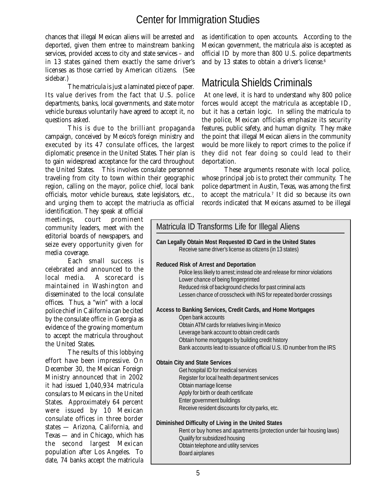chances that illegal Mexican aliens will be arrested and deported, given them entree to mainstream banking services, provided access to city and state services – and in 13 states gained them exactly the same driver's licenses as those carried by American citizens. (See sidebar.)

The matricula is just a laminated piece of paper. Its value derives from the fact that U.S. police departments, banks, local governments, and state motor vehicle bureaus voluntarily have agreed to accept it, no questions asked.

This is due to the brilliant propaganda campaign, conceived by Mexico's foreign ministry and executed by its 47 consulate offices, the largest diplomatic presence in the United States. Their plan is to gain widespread acceptance for the card throughout the United States. This involves consulate personnel traveling from city to town within their geographic region, calling on the mayor, police chief, local bank officials, motor vehicle bureaus, state legislators, etc., and urging them to accept the matriucla as official

identification. They speak at official meetings, court prominent community leaders, meet with the editorial boards of newspapers, and seize every opportunity given for media coverage.

Each small success is celebrated and announced to the local media. A scorecard is maintained in Washington and disseminated to the local consulate offices. Thus, a "win" with a local police chief in California can be cited by the consulate office in Georgia as evidence of the growing momentum to accept the matricula throughout the United States.

The results of this lobbying effort have been impressive. On December 30, the Mexican Foreign Ministry announced that in 2002 it had issued 1,040,934 matricula consulars to Mexicans in the United States. Approximately 64 percent were issued by 10 Mexican consulate offices in three border states — Arizona, California, and Texas — and in Chicago, which has the second largest Mexican population after Los Angeles. To date, 74 banks accept the matricula

as identification to open accounts. According to the Mexican government, the matricula also is accepted as official ID by more than 800 U.S. police departments and by 13 states to obtain a driver's license.<sup>6</sup>

## Matricula Shields Criminals

 At one level, it is hard to understand why 800 police forces would accept the matricula as acceptable ID, but it has a certain logic. In selling the matricula to the police, Mexican officials emphasize its security features, public safety, and human dignity. They make the point that illegal Mexican aliens in the community would be more likely to report crimes to the police if they did not fear doing so could lead to their deportation.

These arguments resonate with local police, whose principal job is to protect their community. The police department in Austin, Texas, was among the first to accept the matricula. $^7$  It did so because its own records indicated that Mexicans assumed to be illegal

| Matricula ID Transforms Life for Illegal Aliens                                                                                                                                                                                                                                                                     |
|---------------------------------------------------------------------------------------------------------------------------------------------------------------------------------------------------------------------------------------------------------------------------------------------------------------------|
| Can Legally Obtain Most Requested ID Card in the United States<br>Receive same driver's license as citizens (in 13 states)                                                                                                                                                                                          |
| <b>Reduced Risk of Arrest and Deportation</b><br>Police less likely to arrest; instead cite and release for minor violations<br>Lower chance of being fingerprinted<br>Reduced risk of background checks for past criminal acts<br>Lessen chance of crosscheck with INS for repeated border crossings               |
| Access to Banking Services, Credit Cards, and Home Mortgages<br>Open bank accounts<br>Obtain ATM cards for relatives living in Mexico<br>Leverage bank account to obtain credit cards<br>Obtain home mortgages by building credit history<br>Bank accounts lead to issuance of official U.S. ID number from the IRS |
| <b>Obtain City and State Services</b><br>Get hospital ID for medical services<br>Register for local health department services<br>Obtain marriage license<br>Apply for birth or death certificate<br>Enter government buildings<br>Receive resident discounts for city parks, etc.                                  |
| Diminished Difficulty of Living in the United States<br>Rent or buy homes and apartments (protection under fair housing laws)<br>Qualify for subsidized housing<br>Obtain telephone and utility services<br>Board airplanes                                                                                         |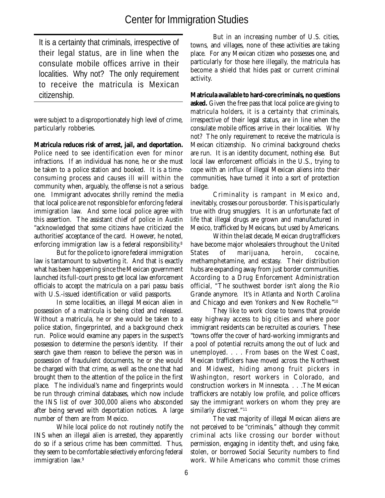It is a certainty that criminals, irrespective of their legal status, are in line when the consulate mobile offices arrive in their localities. Why not? The only requirement to receive the matricula is Mexican citizenship.

were subject to a disproportionately high level of crime, particularly robberies.

**Matricula reduces risk of arrest, jail, and deportation.** Police need to see identification even for minor infractions. If an individual has none, he or she must be taken to a police station and booked. It is a timeconsuming process and causes ill will within the community when, arguably, the offense is not a serious one. Immigrant advocates shrilly remind the media that local police are not responsible for enforcing federal immigration law. And some local police agree with this assertion. The assistant chief of police in Austin "acknowledged that some citizens have criticized the authorities' acceptance of the card. However, he noted, enforcing immigration law is a federal responsibility.<sup>8</sup>

But for the police to ignore federal immigration law is tantamount to subverting it. And that is exactly what has been happening since the Mexican government launched its full-court press to get local law enforcement officials to accept the matricula on a pari passu basis with U.S.-issued identification or valid passports.

In some localities, an illegal Mexican alien in possession of a matricula is being cited and released. Without a matricula, he or she would be taken to a police station, fingerprinted, and a background check run. Police would examine any papers in the suspect's possession to determine the person's identity. If their search gave them reason to believe the person was in possession of fraudulent documents, he or she would be charged with that crime, as well as the one that had brought them to the attention of the police in the first place. The individual's name and fingerprints would be run through criminal databases, which now include the INS list of over 300,000 aliens who absconded after being served with deportation notices. A large number of them are from Mexico.

While local police do not routinely notify the INS when an illegal alien is arrested, they apparently do so if a serious crime has been committed. Thus, they seem to be comfortable selectively enforcing federal immigration law.<sup>9</sup>

But in an increasing number of U.S. cities, towns, and villages, none of these activities are taking place. For any Mexican citizen who possesses one, and particularly for those here illegally, the matricula has become a shield that hides past or current criminal activity.

**Matricula available to hard-core criminals, no questions asked.** Given the free pass that local police are giving to matricula holders, it is a certainty that criminals, irrespective of their legal status, are in line when the consulate mobile offices arrive in their localities. Why not? The only requirement to receive the matricula is Mexican citizenship. No criminal background checks are run. It is an identity document, nothing else. But local law enforcement officials in the U.S., trying to cope with an influx of illegal Mexican aliens into their communities, have turned it into a sort of protection badge.

Criminality is rampant in Mexico and, inevitably, crosses our porous border. This is particularly true with drug smugglers. It is an unfortunate fact of life that illegal drugs are grown and manufactured in Mexico, trafficked by Mexicans, but used by Americans.

Within the last decade, Mexican drug traffickers have become major wholesalers throughout the United States of marijuana, heroin, cocaine, methamphetamine, and ecstasy. Their distribution hubs are expanding away from just border communities. According to a Drug Enforcement Administration official, "The southwest border isn't along the Rio Grande anymore. It's in Atlanta and North Carolina and Chicago and even Yonkers and New Rochelle."10

They like to work close to towns that provide easy highway access to big cities and where poor immigrant residents can be recruited as couriers. These "towns offer the cover of hard-working immigrants and a pool of potential recruits among the out of luck and unemployed. . . . From bases on the West Coast, Mexican traffickers have moved across the Northwest and Midwest, hiding among fruit pickers in Washington, resort workers in Colorado, and construction workers in Minnesota. . . .The Mexican traffickers are notably low profile, and police officers say the immigrant workers on whom they prey are similarly discreet."<sup>11</sup>

The vast majority of illegal Mexican aliens are not perceived to be "criminals," although they commit criminal acts like crossing our border without permission, engaging in identity theft, and using fake, stolen, or borrowed Social Security numbers to find work. While Americans who commit those crimes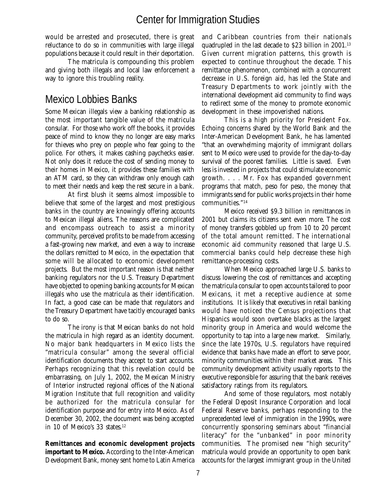would be arrested and prosecuted, there is great reluctance to do so in communities with large illegal populations because it could result in their deportation.

The matricula is compounding this problem and giving both illegals and local law enforcement a way to ignore this troubling reality.

## Mexico Lobbies Banks

Some Mexican illegals view a banking relationship as the most important tangible value of the matricula consular. For those who work off the books, it provides peace of mind to know they no longer are easy marks for thieves who prey on people who fear going to the police. For others, it makes cashing paychecks easier. Not only does it reduce the cost of sending money to their homes in Mexico, it provides these families with an ATM card, so they can withdraw only enough cash to meet their needs and keep the rest secure in a bank.

At first blush it seems almost impossible to believe that some of the largest and most prestigious banks in the country are knowingly offering accounts to Mexican illegal aliens. The reasons are complicated and encompass outreach to assist a minority community, perceived profits to be made from accessing a fast-growing new market, and even a way to increase the dollars remitted to Mexico, in the expectation that some will be allocated to economic development projects. But the most important reason is that neither banking regulators nor the U.S. Treasury Department have objected to opening banking accounts for Mexican illegals who use the matricula as their identification. In fact, a good case can be made that regulators and the Treasury Department have tacitly encouraged banks to do so.

The irony is that Mexican banks do not hold the matricula in high regard as an identity document. No major bank headquarters in Mexico lists the "matricula consular" among the several official identification documents they accept to start accounts. Perhaps recognizing that this revelation could be embarrassing, on July 1, 2002, the Mexican Ministry of Interior instructed regional offices of the National Migration Institute that full recognition and validity be authorized for the matricula consular for identification purpose and for entry into Mexico. As of December 30, 2002, the document was being accepted in 10 of Mexico's 33 states.<sup>12</sup>

**Remittances and economic development projects important to Mexico.** According to the Inter-American Development Bank, money sent home to Latin America and Caribbean countries from their nationals quadrupled in the last decade to \$23 billion in 2001.13 Given current migration patterns, this growth is expected to continue throughout the decade. This remittance phenomenon, combined with a concurrent decrease in U.S. foreign aid, has led the State and Treasury Departments to work jointly with the international development aid community to find ways to redirect some of the money to promote economic development in these impoverished nations.

This is a high priority for President Fox. Echoing concerns shared by the World Bank and the Inter-American Development Bank, he has lamented "that an overwhelming majority of immigrant dollars sent to Mexico were used to provide for the day-to-day survival of the poorest families. Little is saved. Even less is invested in projects that could stimulate economic growth. . . . Mr. Fox has expanded government programs that match, peso for peso, the money that immigrants send for public works projects in their home communities."14

Mexico received \$9.3 billion in remittances in 2001 but claims its citizens sent even more. The cost of money transfers gobbled up from 10 to 20 percent of the total amount remitted. The international economic aid community reasoned that large U.S. commercial banks could help decrease these high remittance-processing costs.

When Mexico approached large U.S. banks to discuss lowering the cost of remittances and accepting the matricula consular to open accounts tailored to poor Mexicans, it met a receptive audience at some institutions. It is likely that executives in retail banking would have noticed the Census projections that Hispanics would soon overtake blacks as the largest minority group in America and would welcome the opportunity to tap into a large new market. Similarly, since the late 1970s, U.S. regulators have required evidence that banks have made an effort to serve poor, minority communities within their market areas. This community development activity usually reports to the executive responsible for assuring that the bank receives satisfactory ratings from its regulators.

And some of those regulators, most notably the Federal Deposit Insurance Corporation and local Federal Reserve banks, perhaps responding to the unprecedented level of immigration in the 1990s, were concurrently sponsoring seminars about "financial literacy" for the "unbanked" in poor minority communities. The promised new "high security" matricula would provide an opportunity to open bank accounts for the largest immigrant group in the United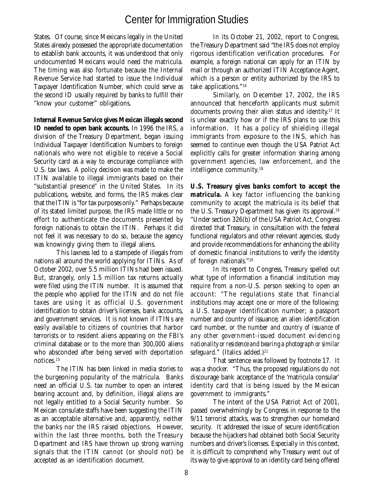States. Of course, since Mexicans legally in the United States already possessed the appropriate documentation to establish bank accounts, it was understood that only undocumented Mexicans would need the matricula. The timing was also fortunate because the Internal Revenue Service had started to issue the Individual Taxpayer Identification Number, which could serve as the second ID usually required by banks to fulfill their "know your customer" obligations.

**Internal Revenue Service gives Mexican illegals second ID needed to open bank accounts.** In 1996 the IRS, a division of the Treasury Department, began issuing Individual Taxpayer Identification Numbers to foreign nationals who were not eligible to receive a Social Security card as a way to encourage compliance with U.S. tax laws. A policy decision was made to make the ITIN available to illegal immigrants based on their "substantial presence" in the United States. In its publications, website, and forms, the IRS makes clear that the ITIN is "for tax purposes only." Perhaps because of its stated limited purpose, the IRS made little or no effort to authenticate the documents presented by foreign nationals to obtain the ITIN. Perhaps it did not feel it was necessary to do so, because the agency was knowingly giving them to illegal aliens.

This laxness led to a stampede of illegals from nations all around the world applying for ITINs. As of October 2002, over 5.5 million ITINs had been issued. But, strangely, only 1.5 million tax returns actually were filed using the ITIN number. It is assumed that the people who applied for the ITIN and do not file taxes are using it as official U.S. government identification to obtain driver's licenses, bank accounts, and government services. It is not known if ITINs are easily available to citizens of countries that harbor terrorists or to resident aliens appearing on the FBI's criminal database or to the more than 300,000 aliens who absconded after being served with deportation notices.15

The ITIN has been linked in media stories to the burgeoning popularity of the matricula. Banks need an official U.S. tax number to open an interest bearing account and, by definition, illegal aliens are not legally entitled to a Social Security number. So Mexican consulate staffs have been suggesting the ITIN as an acceptable alternative and, apparently, neither the banks nor the IRS raised objections. However, within the last three months, both the Treasury Department and IRS have thrown up strong warning signals that the ITIN cannot (or should not) be accepted as an identification document.

In its October 21, 2002, report to Congress, the Treasury Department said "the IRS does not employ rigorous identification verification procedures. For example, a foreign national can apply for an ITIN by mail or through an authorized ITIN Acceptance Agent, which is a person or entity authorized by the IRS to take applications."16

Similarly, on December 17, 2002, the IRS announced that henceforth applicants must submit documents proving their alien status and identity.17 It is unclear exactly how or if the IRS plans to use this information. It has a policy of shielding illegal immigrants from exposure to the INS, which has seemed to continue even though the USA Patriot Act explicitly calls for greater information sharing among government agencies, law enforcement, and the intelligence community.18

**U.S. Treasury gives banks comfort to accept the matricula.** A key factor influencing the banking community to accept the matricula is its belief that the U.S. Treasury Department has given its approval.<sup>19</sup> "Under section 326(b) of the USA Patriot Act, Congress directed that Treasury, in consultation with the federal functional regulators and other relevant agencies, study and provide recommendations for enhancing the ability of domestic financial institutions to verify the identity of foreign nationals."20

In its report to Congress, Treasury spelled out what type of information a financial institution may require from a non-U.S. person seeking to open an account: "The regulations state that financial institutions may accept one or more of the following: a U.S. taxpayer identification number; a passport number and country of issuance; an alien identification card number, *or the number and country of issuance of any other government-issued document evidencing nationality or residence and bearing a photograph or similar safeguard.*" (Italics added.)<sup>21</sup>

That sentence was followed by footnote 17. It was a shocker. "Thus, the proposed regulations do not discourage bank acceptance of the 'matricula consular' identity card that is being issued by the Mexican government to immigrants."

The intent of the USA Patriot Act of 2001, passed overwhelmingly by Congress in response to the 9/11 terrorist attacks, was to strengthen our homeland security. It addressed the issue of secure identification because the hijackers had obtained both Social Security numbers and driver's licenses. Especially in this context, it is difficult to comprehend why Treasury went out of its way to give approval to an identity card being offered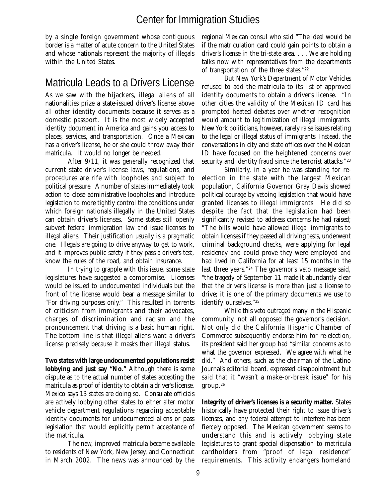by a single foreign government whose contiguous border is a matter of acute concern to the United States and whose nationals represent the majority of illegals within the United States.

#### Matricula Leads to a Drivers License

As we saw with the hijackers, illegal aliens of all nationalities prize a state-issued driver's license above all other identity documents because it serves as a domestic passport. It is the most widely accepted identity document in America and gains you access to places, services, and transportation. Once a Mexican has a driver's license, he or she could throw away their matricula. It would no longer be needed.

After 9/11, it was generally recognized that current state driver's license laws, regulations, and procedures are rife with loopholes and subject to political pressure. A number of states immediately took action to close administrative loopholes and introduce legislation to more tightly control the conditions under which foreign nationals illegally in the United States can obtain driver's licenses. Some states still openly subvert federal immigration law and issue licenses to illegal aliens. Their justification usually is a pragmatic one. Illegals are going to drive anyway to get to work, and it improves public safety if they pass a driver's test, know the rules of the road, and obtain insurance.

In trying to grapple with this issue, some state legislatures have suggested a compromise. Licenses would be issued to undocumented individuals but the front of the license would bear a message similar to "For driving purposes only." This resulted in torrents of criticism from immigrants and their advocates, charges of discrimination and racism and the pronouncement that driving is a basic human right. The bottom line is that illegal aliens want a driver's license precisely because it masks their illegal status.

**Two states with large undocumented populations resist lobbying and just say "No."** Although there is some dispute as to the actual number of states accepting the matricula as proof of identity to obtain a driver's license, Mexico says 13 states are doing so. Consulate officials are actively lobbying other states to either alter motor vehicle department regulations regarding acceptable identity documents for undocumented aliens or pass legislation that would explicitly permit acceptance of the matricula.

The new, improved matricula became available to residents of New York, New Jersey, and Connecticut in March 2002. The news was announced by the regional Mexican consul who said "The ideal would be if the matriculation card could gain points to obtain a driver's license in the tri-state area. . . . We are holding talks now with representatives from the departments of transportation of the three states."22

But New York's Department of Motor Vehicles refused to add the matricula to its list of approved identity documents to obtain a driver's license. "In other cities the validity of the Mexican ID card has prompted heated debates over whether recognition would amount to legitimization of illegal immigrants. New York politicians, however, rarely raise issues relating to the legal or illegal status of immigrants. Instead, the conversations in city and state offices over the Mexican ID have focused on the heightened concerns over security and identity fraud since the terrorist attacks."<sup>23</sup>

Similarly, in a year he was standing for reelection in the state with the largest Mexican population, California Governor Gray Davis showed political courage by vetoing legislation that would have granted licenses to illegal immigrants. He did so despite the fact that the legislation had been significantly revised to address concerns he had raised; "The bills would have allowed illegal immigrants to obtain licenses if they passed all driving tests, underwent criminal background checks, were applying for legal residency and could prove they were employed and had lived in California for at least 15 months in the last three years."24 The governor's veto message said, "the tragedy of September 11 made it abundantly clear that the driver's license is more than just a license to drive; it is one of the primary documents we use to identify ourselves."25

While this veto outraged many in the Hispanic community, not all opposed the governor's decision. Not only did the California Hispanic Chamber of Commerce subsequently endorse him for re-election, its president said her group had "similar concerns as to what the governor expressed. We agree with what he did." And others, such as the chairman of the Latino Journal's editorial board, expressed disappointment but said that it "wasn't a make-or-break issue" for his group.26

**Integrity of driver's licenses is a security matter.** States historically have protected their right to issue driver's licenses, and any federal attempt to interfere has been fiercely opposed. The Mexican government seems to understand this and is actively lobbying state legislatures to grant special dispensation to matricula cardholders from "proof of legal residence" requirements. This activity endangers homeland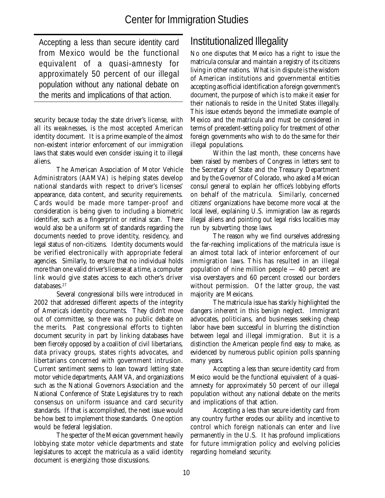Accepting a less than secure identity card from Mexico would be the functional equivalent of a quasi-amnesty for approximately 50 percent of our illegal population without any national debate on the merits and implications of that action.

security because today the state driver's license, with all its weaknesses, is the most accepted American identity document. It is a prime example of the almost non-existent interior enforcement of our immigration laws that states would even consider issuing it to illegal aliens.

The American Association of Motor Vehicle Administrators (AAMVA) is helping states develop national standards with respect to driver's licenses' appearance, data content, and security requirements. Cards would be made more tamper-proof and consideration is being given to including a biometric identifier, such as a fingerprint or retinal scan. There would also be a uniform set of standards regarding the documents needed to prove identity, residency, and legal status of non-citizens. Identity documents would be verified electronically with appropriate federal agencies. Similarly, to ensure that no individual holds more than one valid driver's license at a time, a computer link would give states access to each other's driver databases.<sup>27</sup>

Several congressional bills were introduced in 2002 that addressed different aspects of the integrity of America's identity documents. They didn't move out of committee, so there was no public debate on the merits. Past congressional efforts to tighten document security in part by linking databases have been fiercely opposed by a coalition of civil libertarians, data privacy groups, states rights advocates, and libertarians concerned with government intrusion. Current sentiment seems to lean toward letting state motor vehicle departments, AAMVA, and organizations such as the National Governors Association and the National Conference of State Legislatures try to reach consensus on uniform issuance and card security standards. If that is accomplished, the next issue would be how best to implement those standards. One option would be federal legislation.

The specter of the Mexican government heavily lobbying state motor vehicle departments and state legislatures to accept the matricula as a valid identity document is energizing those discussions.

## Institutionalized Illegality

No one disputes that Mexico has a right to issue the matricula consular and maintain a registry of its citizens living in other nations. What is in dispute is the wisdom of American institutions and governmental entities accepting as official identification a foreign government's document, the purpose of which is to make it easier for their nationals to reside in the United States illegally. This issue extends beyond the immediate example of Mexico and the matricula and must be considered in terms of precedent-setting policy for treatment of other foreign governments who wish to do the same for their illegal populations.

Within the last month, these concerns have been raised by members of Congress in letters sent to the Secretary of State and the Treasury Department and by the Governor of Colorado, who asked a Mexican consul general to explain her office's lobbying efforts on behalf of the matricula. Similarly, concerned citizens' organizations have become more vocal at the local level, explaining U.S. immigration law as regards illegal aliens and pointing out legal risks localities may run by subverting those laws.

The reason why we find ourselves addressing the far-reaching implications of the matricula issue is an almost total lack of interior enforcement of our immigration laws. This has resulted in an illegal population of nine million people — 40 percent are visa overstayers and 60 percent crossed our borders without permission. Of the latter group, the vast majority are Mexicans.

The matricula issue has starkly highlighted the dangers inherent in this benign neglect. Immigrant advocates, politicians, and businesses seeking cheap labor have been successful in blurring the distinction between legal and illegal immigration. But it is a distinction the American people find easy to make, as evidenced by numerous public opinion polls spanning many years.

Accepting a less than secure identity card from Mexico would be the functional equivalent of a quasiamnesty for approximately 50 percent of our illegal population without any national debate on the merits and implications of that action.

Accepting a less than secure identity card from any country further erodes our ability and incentive to control which foreign nationals can enter and live permanently in the U.S. It has profound implications for future immigration policy and evolving policies regarding homeland security.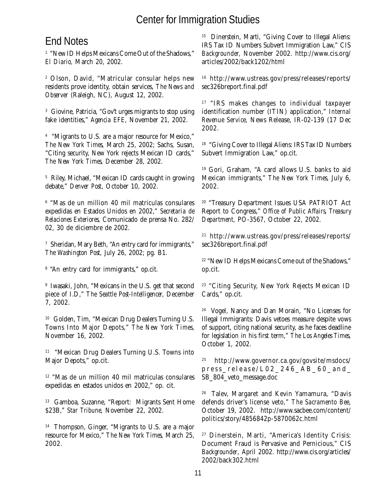#### End Notes

1 "New ID Helps Mexicans Come Out of the Shadows," *El Diario,* March 20, 2002.

2 Olson, David, "Matricular consular helps new residents prove identity, obtain services, *The News and Observer* (Raleigh, NC), August 12, 2002.

3 Giovine, Patricia, "Gov't urges migrants to stop using fake identities," *Agencia EFE,* November 21, 2002.

4 "Migrants to U.S. are a major resource for Mexico," *The New York Times,* March 25, 2002; Sachs, Susan, "Citing security, New York rejects Mexican ID cards," *The New York Times,* December 28, 2002.

5 Riley, Michael, "Mexican ID cards caught in growing debate," *Denver Post*, October 10, 2002.

6 "Mas de un million 40 mil matriculas consulares expedidas en Estados Unidos en 2002," *Secretaria de Relaciones Exteriores,* Comunicado de prensa No. 282/ 02, 30 de diciembre de 2002.

 $^\tau$  Sheridan, Mary Beth, "An entry card for immigrants," *The Washington Post,* July 26, 2002; pg. B1.

8 "An entry card for immigrants," op.cit.

9 Iwasaki, John, "Mexicans in the U.S. get that second piece of I.D," *The Seattle Post-Intelligencer,* December 7, 2002.

<sup>10</sup> Golden, Tim, "Mexican Drug Dealers Turning U.S. Towns Into Major Depots," *The New York Times,* November 16, 2002.

<sup>11</sup> "Mexican Drug Dealers Turning U.S. Towns into Major Depots," op.cit.

12 "Mas de un million 40 mil matriculas consulares expedidas en estados unidos en 2002," op. cit.

13 Gamboa, Suzanne, "Report: Migrants Sent Home \$23B," *Star Tribune,* November 22, 2002.

14 Thompson, Ginger, "Migrants to U.S. are a major resource for Mexico," *The New York Times,* March 25, 2002.

<sup>15</sup> Dinerstein, Marti, "Giving Cover to Illegal Aliens: IRS Tax ID Numbers Subvert Immigration Law," CIS *Backgrounder,* November 2002. http://www.cis.org/ articles/2002/back1202/html

16 http://www.ustreas.gov/press/releases/reports/ sec326breport.final.pdf

<sup>17</sup> "IRS makes changes to individual taxpayer identification number (ITIN) application," *Internal Revenue Service,* News Release, IR-02-139 (17 Dec 2002.

<sup>18</sup> "Giving Cover to Illegal Aliens: IRS Tax ID Numbers Subvert Immigration Law," op.cit.

19 Gori, Graham, "A card allows U.S. banks to aid Mexican immigrants," *The New York Times,* July 6, 2002.

<sup>20</sup> "Treasury Department Issues USA PATRIOT Act Report to Congress," *Office of Public Affairs, Treasury Department,* PO-3567, October 22, 2002.

21 http://www.ustreas.gov/press/releases/reports/ sec326breport.final.pdf

<sup>22</sup> "New ID Helps Mexicans Come out of the Shadows," op.cit.

<sup>23</sup> "Citing Security, New York Rejects Mexican ID Cards," op.cit.

24 Vogel, Nancy and Dan Morain, "No Licenses for Illegal Immigrants: Davis vetoes measure despite vows of support, citing national security, as he faces deadline for legislation in his first term," *The Los Angeles Times,* October 1, 2002.

25 http://www.governor.ca.gov/govsite/msdocs/ press\_release/L02\_246\_AB\_60\_and\_ SB\_804\_veto\_message.doc

26 Talev, Margaret and Kevin Yamamura, "Davis defends driver's license veto," *The Sacramento Bee,* October 19, 2002. http://www.sacbee.com/content/ politics/story/4856842p-5870062c.html

<sup>27</sup> Dinerstein, Marti, "America's Identity Crisis: Document Fraud is Pervasive and Pernicious," CIS *Backgrounder*, April 2002. http://www.cis.org/articles/ 2002/back302.html